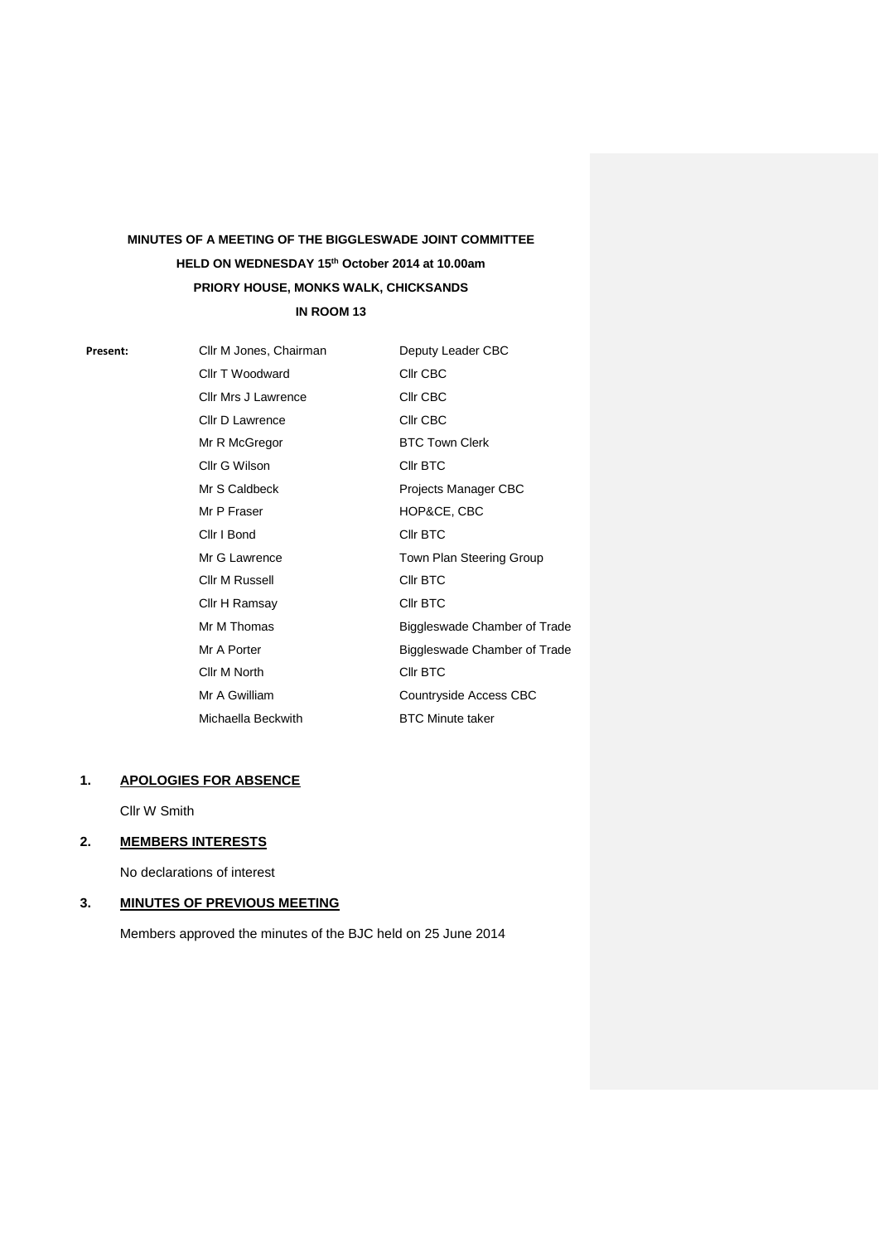# **MINUTES OF A MEETING OF THE BIGGLESWADE JOINT COMMITTEE HELD ON WEDNESDAY 15th October 2014 at 10.00am PRIORY HOUSE, MONKS WALK, CHICKSANDS IN ROOM 13**

**Present:** Cllr M Jones, Chairman Cllr T Woodward Cllr Mrs J Lawrence Cllr D Lawrence Mr R McGregor Cllr G Wilson Mr S Caldbeck Mr P Fraser Cllr I Bond Mr G Lawrence Cllr M Russell Cllr H Ramsay Mr M Thomas Mr A Porter Cllr M North Mr A Gwilliam Michaella Beckwith Deputy Leader CBC Cllr CBC Cllr CBC Cllr CBC BTC Town Clerk Cllr BTC Projects Manager CBC HOP&CE, CBC Cllr BTC Town Plan Steering Group Cllr BTC Cllr BTC Biggleswade Chamber of Trade Biggleswade Chamber of Trade Cllr BTC Countryside Access CBC BTC Minute taker

# **1. APOLOGIES FOR ABSENCE**

Cllr W Smith

#### **2. MEMBERS INTERESTS**

No declarations of interest

## **3. MINUTES OF PREVIOUS MEETING**

Members approved the minutes of the BJC held on 25 June 2014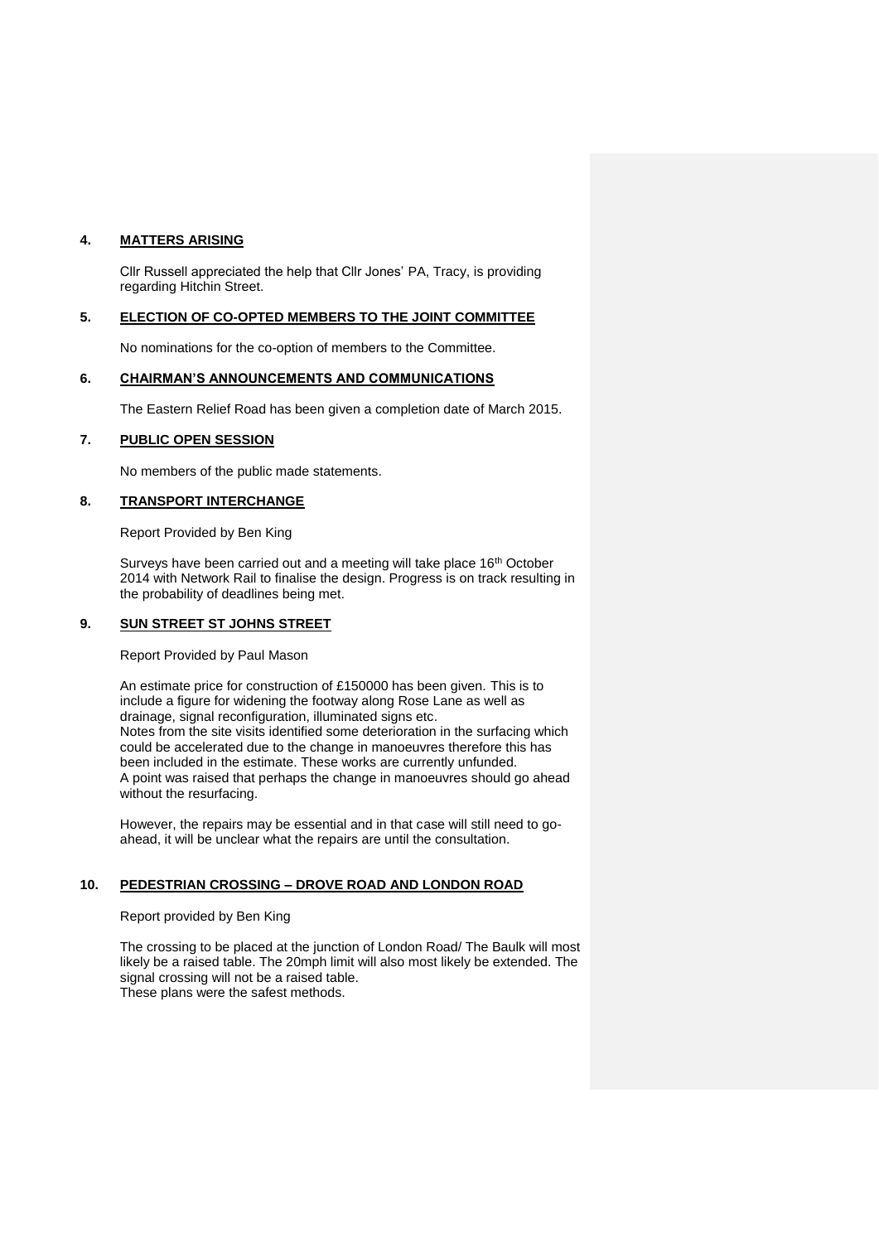## **4. MATTERS ARISING**

Cllr Russell appreciated the help that Cllr Jones' PA, Tracy, is providing regarding Hitchin Street.

# **5. ELECTION OF CO-OPTED MEMBERS TO THE JOINT COMMITTEE**

No nominations for the co-option of members to the Committee.

#### **6. CHAIRMAN'S ANNOUNCEMENTS AND COMMUNICATIONS**

The Eastern Relief Road has been given a completion date of March 2015.

#### **7. PUBLIC OPEN SESSION**

No members of the public made statements.

#### **8. TRANSPORT INTERCHANGE**

Report Provided by Ben King

Surveys have been carried out and a meeting will take place 16<sup>th</sup> October 2014 with Network Rail to finalise the design. Progress is on track resulting in the probability of deadlines being met.

#### **9. SUN STREET ST JOHNS STREET**

Report Provided by Paul Mason

An estimate price for construction of £150000 has been given. This is to include a figure for widening the footway along Rose Lane as well as drainage, signal reconfiguration, illuminated signs etc. Notes from the site visits identified some deterioration in the surfacing which could be accelerated due to the change in manoeuvres therefore this has been included in the estimate. These works are currently unfunded. A point was raised that perhaps the change in manoeuvres should go ahead without the resurfacing.

However, the repairs may be essential and in that case will still need to goahead, it will be unclear what the repairs are until the consultation.

# **10. PEDESTRIAN CROSSING – DROVE ROAD AND LONDON ROAD**

## Report provided by Ben King

The crossing to be placed at the junction of London Road/ The Baulk will most likely be a raised table. The 20mph limit will also most likely be extended. The signal crossing will not be a raised table. These plans were the safest methods.